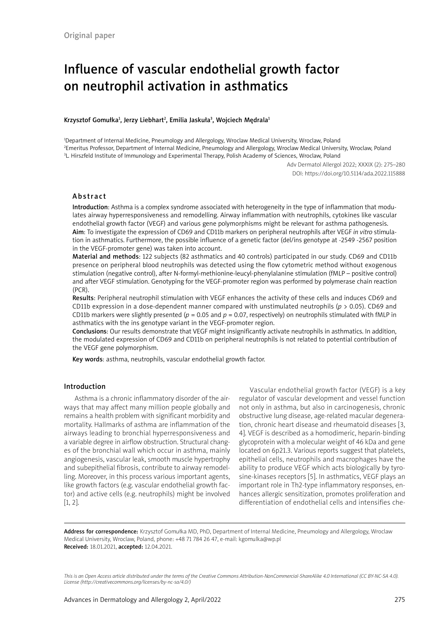# Influence of vascular endothelial growth factor on neutrophil activation in asthmatics

#### Krzysztof Gomułka<sup>1</sup>, Jerzy Liebhart<sup>2</sup>, Emilia Jaskuła<sup>3</sup>, Wojciech Mędrala<sup>1</sup>

1 Department of Internal Medicine, Pneumology and Allergology, Wroclaw Medical University, Wroclaw, Poland 2 Emeritus Professor, Department of Internal Medicine, Pneumology and Allergology, Wroclaw Medical University, Wroclaw, Poland 3 L. Hirszfeld Institute of Immunology and Experimental Therapy, Polish Academy of Sciences, Wroclaw, Poland

> Adv Dermatol Allergol 2022; XXXIX (2): 275–280 DOI: https://doi.org/10.5114/ada.2022.115888

## Abstract

Introduction: Asthma is a complex syndrome associated with heterogeneity in the type of inflammation that modulates airway hyperresponsiveness and remodelling. Airway inflammation with neutrophils, cytokines like vascular endothelial growth factor (VEGF) and various gene polymorphisms might be relevant for asthma pathogenesis. Aim: To investigate the expression of CD69 and CD11b markers on peripheral neutrophils after VEGF *in vitro* stimulation in asthmatics. Furthermore, the possible influence of a genetic factor (del/ins genotype at -2549 -2567 position in the VEGF-promoter gene) was taken into account.

Material and methods: 122 subjects (82 asthmatics and 40 controls) participated in our study. CD69 and CD11b presence on peripheral blood neutrophils was detected using the flow cytometric method without exogenous stimulation (negative control), after N-formyl-methionine-leucyl-phenylalanine stimulation (fMLP – positive control) and after VEGF stimulation. Genotyping for the VEGF-promoter region was performed by polymerase chain reaction (PCR).

Results: Peripheral neutrophil stimulation with VEGF enhances the activity of these cells and induces CD69 and CD11b expression in a dose-dependent manner compared with unstimulated neutrophils (*p* > 0.05). CD69 and CD11b markers were slightly presented ( $p = 0.05$  and  $p = 0.07$ , respectively) on neutrophils stimulated with fMLP in asthmatics with the ins genotype variant in the VEGF-promoter region.

Conclusions: Our results demonstrate that VEGF might insignificantly activate neutrophils in asthmatics. In addition, the modulated expression of CD69 and CD11b on peripheral neutrophils is not related to potential contribution of the VEGF gene polymorphism.

Key words: asthma, neutrophils, vascular endothelial growth factor.

## Introduction

Asthma is a chronic inflammatory disorder of the airways that may affect many million people globally and remains a health problem with significant morbidity and mortality. Hallmarks of asthma are inflammation of the airways leading to bronchial hyperresponsiveness and a variable degree in airflow obstruction. Structural changes of the bronchial wall which occur in asthma, mainly angiogenesis, vascular leak, smooth muscle hypertrophy and subepithelial fibrosis, contribute to airway remodelling. Moreover, in this process various important agents, like growth factors (e.g. vascular endothelial growth factor) and active cells (e.g. neutrophils) might be involved [1, 2].

Vascular endothelial growth factor (VEGF) is a key regulator of vascular development and vessel function not only in asthma, but also in carcinogenesis, chronic obstructive lung disease, age-related macular degeneration, chronic heart disease and rheumatoid diseases [3, 4]. VEGF is described as a homodimeric, heparin-binding glycoprotein with a molecular weight of 46 kDa and gene located on 6p21.3. Various reports suggest that platelets, epithelial cells, neutrophils and macrophages have the ability to produce VEGF which acts biologically by tyrosine-kinases receptors [5]. In asthmatics, VEGF plays an important role in Th2-type inflammatory responses, enhances allergic sensitization, promotes proliferation and differentiation of endothelial cells and intensifies che-

Address for correspondence: Krzysztof Gomułka MD, PhD, Department of Internal Medicine, Pneumology and Allergology, Wroclaw Medical University, Wroclaw, Poland, phone: +48 71 784 26 47, e-mail: kgomulka@wp.pl Received: 18.01.2021, accepted: 12.04.2021.

*This is an Open Access article distributed under the terms of the Creative Commons Attribution-NonCommercial-ShareAlike 4.0 International (CC BY-NC-SA 4.0). License (http://creativecommons.org/licenses/by-nc-sa/4.0/)*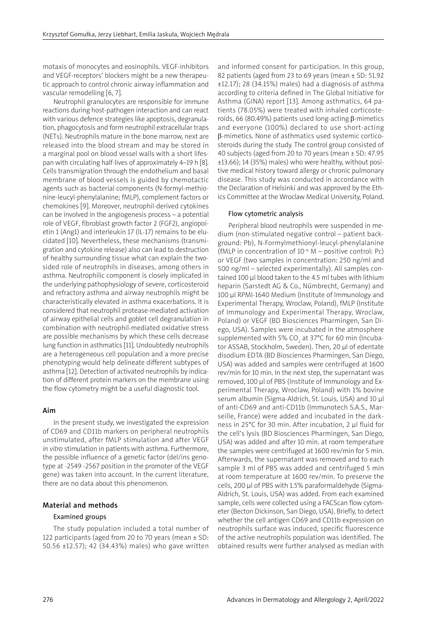motaxis of monocytes and eosinophils. VEGF-inhibitors and VEGF-receptors' blockers might be a new therapeutic approach to control chronic airway inflammation and vascular remodelling [6, 7].

Neutrophil granulocytes are responsible for immune reactions during host-pathogen interaction and can react with various defence strategies like apoptosis, degranulation, phagocytosis and form neutrophil extracellular traps (NETs). Neutrophils mature in the bone marrow, next are released into the blood stream and may be stored in a marginal pool on blood vessel walls with a short lifespan with circulating half-lives of approximately 4–19 h [8]. Cells transmigration through the endothelium and basal membrane of blood vessels is guided by chemotactic agents such as bacterial components (N-formyl-methionine-leucyl-phenylalanine; fMLP), complement factors or chemokines [9]. Moreover, neutrophil-derived cytokines can be involved in the angiogenesis process – a potential role of VEGF, fibroblast growth factor 2 (FGF2), angiopoietin 1 (Ang1) and interleukin 17 (IL-17) remains to be elucidated [10]. Nevertheless, these mechanisms (transmigration and cytokine release) also can lead to destruction of healthy surrounding tissue what can explain the twosided role of neutrophils in diseases, among others in asthma. Neutrophilic component is closely implicated in the underlying pathophysiology of severe, corticosteroid and refractory asthma and airway neutrophils might be characteristically elevated in asthma exacerbations. It is considered that neutrophil protease-mediated activation of airway epithelial cells and goblet cell degranulation in combination with neutrophil-mediated oxidative stress are possible mechanisms by which these cells decrease lung function in asthmatics [11]. Undoubtedly neutrophils are a heterogeneous cell population and a more precise phenotyping would help delineate different subtypes of asthma [12]. Detection of activated neutrophils by indication of different protein markers on the membrane using the flow cytometry might be a useful diagnostic tool.

# Aim

In the present study, we investigated the expression of CD69 and CD11b markers on peripheral neutrophils unstimulated, after fMLP stimulation and after VEGF *in vitro* stimulation in patients with asthma. Furthermore, the possible influence of a genetic factor (del/ins genotype at -2549 -2567 position in the promoter of the VEGF gene) was taken into account. In the current literature, there are no data about this phenomenon.

## Material and methods

## Examined groups

The study population included a total number of 122 participants (aged from 20 to 70 years (mean ± SD: 50.56 ±12.57); 42 (34.43%) males) who gave written and informed consent for participation. In this group, 82 patients (aged from 23 to 69 years (mean  $\pm$  SD: 51.92  $\pm$ 12.17); 28 (34.15%) males) had a diagnosis of asthma according to criteria defined in The Global Initiative for Asthma (GINA) report [13]. Among asthmatics, 64 patients (78.05%) were treated with inhaled corticosteroids, 66 (80.49%) patients used long-acting  $\beta$ -mimetics and everyone (100%) declared to use short-acting b-mimetics. None of asthmatics used systemic corticosteroids during the study. The control group consisted of 40 subjects (aged from 20 to 70 years (mean ± SD: 47.95 ±13.66); 14 (35%) males) who were healthy, without positive medical history toward allergy or chronic pulmonary disease. This study was conducted in accordance with the Declaration of Helsinki and was approved by the Ethics Committee at the Wroclaw Medical University, Poland.

## Flow cytometric analysis

Peripheral blood neutrophils were suspended in medium (non-stimulated negative control – patient background: Pb), N-Formylmethionyl-leucyl-phenylalanine (fMLP in concentration of  $10^{-6}$  M – positive control: Pc) or VEGF (two samples in concentration: 250 ng/ml and 500 ng/ml – selected experimentally). All samples contained 100 µl blood taken to the 4.5 ml tubes with lithium heparin (Sarstedt AG & Co., Nümbrecht, Germany) and 100 µl RPMI-1640 Medium (Institute of Immunology and Experimental Therapy, Wroclaw, Poland), fMLP (Institute of Immunology and Experimental Therapy, Wroclaw, Poland) or VEGF (BD Biosciences Pharmingen, San Diego, USA). Samples were incubated in the atmosphere supplemented with 5% CO<sub>2</sub> at 37°C for 60 min (Incubator ASSAB, Stockholm, Sweden). Then, 20 µl of edentate disodium EDTA (BD Biosciences Pharmingen, San Diego, USA) was added and samples were centrifuged at 1600 rev/min for 10 min. In the next step, the supernatant was removed, 100 µl of PBS (Institute of Immunology and Experimental Therapy, Wroclaw, Poland) with 1% bovine serum albumin (Sigma-Aldrich, St. Louis, USA) and 10 µl of anti-CD69 and anti-CD11b (Immunotech S.A.S., Marseille, France) were added and incubated in the darkness in 25°C for 30 min. After incubation, 2 µl fluid for the cell's lysis (BD Biosciences Pharmingen, San Diego, USA) was added and after 10 min. at room temperature the samples were centrifuged at 1600 rev/min for 5 min. Afterwards, the supernatant was removed and to each sample 3 ml of PBS was added and centrifuged 5 min at room temperature at 1600 rev/min. To preserve the cells, 200 µl of PBS with 1.5% paraformaldehyde (Sigma-Aldrich, St. Louis, USA) was added. From each examined sample, cells were collected using a FACScan flow cytometer (Becton Dickinson, San Diego, USA). Briefly, to detect whether the cell antigen CD69 and CD11b expression on neutrophils surface was induced, specific fluorescence of the active neutrophils population was identified. The obtained results were further analysed as median with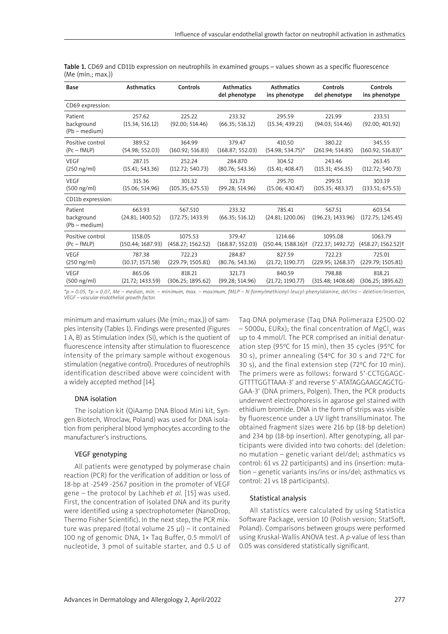| Base                                   | <b>Asthmatics</b>          | Controls                    | <b>Asthmatics</b><br>del phenotype | <b>Asthmatics</b><br>ins phenotype | Controls<br>del phenotype   | Controls<br>ins phenotype        |
|----------------------------------------|----------------------------|-----------------------------|------------------------------------|------------------------------------|-----------------------------|----------------------------------|
| CD69 expression:                       |                            |                             |                                    |                                    |                             |                                  |
| Patient<br>background<br>(Pb – medium) | 257.62<br>(15.34; 516.12)  | 225.22<br>(92.00; 514.46)   | 233.32<br>(66.35; 516.12)          | 295.59<br>(15.34; 439.21)          | 221.99<br>(94.03; 514.46)   | 233.51<br>(92.00; 401.92)        |
| Positive control                       | 389.52                     | 364.99                      | 379.47                             | 410.50                             | 380.22                      | 345.55                           |
| $(Pc - fMLP)$                          | (54.98; 552.03)            | (160.92; 516.83)            | (168.87; 552.03)                   | $(54.98; 534.75)^*$                | (261.94; 514.85)            | $(160.92; 516.83)^*$             |
| <b>VEGF</b>                            | 287.15                     | 252.24                      | 284.870                            | 304.52                             | 243.46                      | 263.45                           |
| $(250 \text{ ng/ml})$                  | (15.41; 543.36)            | (112.72; 540.73)            | (80.76; 543.36)                    | (15.41; 408.47)                    | (115.31; 456.35)            | (112.72; 540.73)                 |
| VEGF                                   | 315.36                     | 301.32                      | 321.73                             | 295.70                             | 299.51                      | 303.19                           |
| (500 ng/ml)                            | (15.06; 514.96)            | (105.35; 675.53)            | (99.28; 514.96)                    | (15.06; 430.47)                    | (105.35; 483.37)            | (133.51; 675.53)                 |
| CD11b expression:                      |                            |                             |                                    |                                    |                             |                                  |
| Patient<br>background<br>(Pb – medium) | 663.93<br>(24.81; 1400.52) | 567.510<br>(172.75; 1433.9) | 233.32<br>(66.35; 516.12)          | 785.41<br>(24.81; 1200.06)         | 567.51<br>(196.23; 1433.96) | 603.54<br>(172.75; 1245.45)      |
| Positive control                       | 1158.05                    | 1075.53                     | 379.47                             | 1214.66                            | 1095.08                     | 1063.79                          |
| $(Pc - fMLP)$                          | (150.44; 1687.93)          | (458.27; 1562.52)           | (168.87; 552.03)                   | $(150.44; 1588.16)$ <sup>†</sup>   | (722.37; 1492.72)           | $(458.27; 1562.52)$ <sup>†</sup> |
| <b>VEGF</b>                            | 787.38                     | 722.23                      | 284.87                             | 827.59                             | 722.23                      | 725.01                           |
| (250 ng/ml)                            | (10.17; 1571.58)           | (229.79; 1505.81)           | (80.76; 543.36)                    | (21.72; 1190.77)                   | (229.95; 1268.37)           | (229.79; 1505.81)                |
| <b>VEGF</b>                            | 865.06                     | 818.21                      | 321.73                             | 840.59                             | 798.88                      | 818.21                           |
| (500 ng/ml)                            | (21.72; 1433.59)           | (306.25; 1895.62)           | (99.28; 514.96)                    | (21.72; 1190.77)                   | (315.48; 1408.68)           | (306.25; 1895.62)                |

Table 1. CD69 and CD11b expression on neutrophils in examined groups - values shown as a specific fluorescence (Me (min.; max.))

*\*p = 0.05, †p = 0.07, Me – median, min. – minimum, max. – maximum, fMLP – N-formylmethionyl-leucyl-phenylalanine, del/ins – deletion/insertion, VEGF – vascular endothelial growth factor.*

minimum and maximum values (Me (min.; max.)) of samples intensity (Tables 1). Findings were presented (Figures 1 A, B) as Stimulation index (SI), which is the quotient of fluorescence intensity after stimulation to fluorescence intensity of the primary sample without exogenous stimulation (negative control). Procedures of neutrophils identification described above were coincident with a widely accepted method [14].

## DNA isolation

The isolation kit (QiAamp DNA Blood Mini kit, Syngen Biotech, Wroclaw, Poland) was used for DNA isolation from peripheral blood lymphocytes according to the manufacturer's instructions.

# VEGF genotyping

All patients were genotyped by polymerase chain reaction (PCR) for the verification of addition or loss of 18-bp at -2549 -2567 position in the promoter of VEGF gene – the protocol by Lachheb *et al.* [15] was used. First, the concentration of isolated DNA and its purity were identified using a spectrophotometer (NanoDrop, Thermo Fisher Scientific). In the next step, the PCR mixture was prepared (total volume 25 µl) – it contained 100 ng of genomic DNA, 1× Taq Buffer, 0.5 mmol/l of nucleotide, 3 pmol of suitable starter, and 0.5 U of Taq-DNA polymerase (Taq DNA Polimeraza E2500-02 – 5000u, EURx); the final concentration of MgCl $_{_{2}}$  was up to 4 mmol/l. The PCR comprised an initial denaturation step (95ºC for 15 min), then 35 cycles (95ºC for 30 s), primer annealing (54ºC for 30 s and 72ºC for 30 s), and the final extension step (72ºC for 10 min). The primers were as follows: forward 5'-CCTGGAGC-GTTTTGGTTAAA-3' and reverse 5'-ATATAGGAAGCAGCTG-GAA-3' (DNA primers, Polgen). Then, the PCR products underwent electrophoresis in agarose gel stained with ethidium bromide. DNA in the form of strips was visible by fluorescence under a UV light transilluminator. The obtained fragment sizes were 216 bp (18-bp deletion) and 234 bp (18-bp insertion). After genotyping, all participants were divided into two cohorts: del (deletion: no mutation – genetic variant del/del; asthmatics vs control: 61 vs 22 participants) and ins (insertion: mutation – genetic variants ins/ins or ins/del; asthmatics vs control: 21 vs 18 participants).

## Statistical analysis

All statistics were calculated by using Statistica Software Package, version 10 (Polish version; StatSoft, Poland). Comparisons between groups were performed using Kruskal-Wallis ANOVA test. A *p*-value of less than 0.05 was considered statistically significant.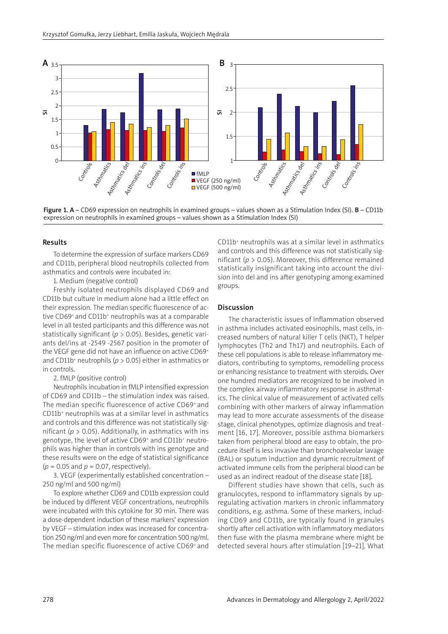

Figure 1. A – CD69 expression on neutrophils in examined groups – values shown as a Stimulation Index (SI). B – CD11b expression on neutrophils in examined groups – values shown as a Stimulation Index (SI)

## Results

To determine the expression of surface markers CD69 and CD11b, peripheral blood neutrophils collected from asthmatics and controls were incubated in:

1. Medium (negative control)

Freshly isolated neutrophils displayed CD69 and CD11b but culture in medium alone had a little effect on their expression. The median specific fluorescence of active CD69+ and CD11b+ neutrophils was at a comparable level in all tested participants and this difference was not statistically significant (*p* > 0.05). Besides, genetic variants del/ins at -2549 -2567 position in the promoter of the VEGF gene did not have an influence on active CD69<sup>+</sup> and CD11b<sup>+</sup> neutrophils ( $p > 0.05$ ) either in asthmatics or in controls.

2. fMLP (positive control)

Neutrophils incubation in fMLP intensified expression of CD69 and CD11b – the stimulation index was raised. The median specific fluorescence of active CD69+ and CD11b<sup>+</sup> neutrophils was at a similar level in asthmatics and controls and this difference was not statistically significant ( $p > 0.05$ ). Additionally, in asthmatics with ins genotype, the level of active CD69<sup>+</sup> and CD11b<sup>+</sup> neutrophils was higher than in controls with ins genotype and these results were on the edge of statistical significance  $(p = 0.05$  and  $p = 0.07$ , respectively).

3. VEGF (experimentally established concentration – 250 ng/ml and 500 ng/ml)

To explore whether CD69 and CD11b expression could be induced by different VEGF concentrations, neutrophils were incubated with this cytokine for 30 min. There was a dose-dependent induction of these markers' expression by VEGF – stimulation index was increased for concentration 250 ng/ml and even more for concentration 500 ng/ml. The median specific fluorescence of active CD69+ and

CD11b<sup>+</sup> neutrophils was at a similar level in asthmatics and controls and this difference was not statistically significant (*p* > 0.05). Moreover, this difference remained statistically insignificant taking into account the division into del and ins after genotyping among examined groups.

#### Discussion

The characteristic issues of inflammation observed in asthma includes activated eosinophils, mast cells, increased numbers of natural killer T cells (NKT), T helper lymphocytes (Th2 and Th17) and neutrophils. Each of these cell populations is able to release inflammatory mediators, contributing to symptoms, remodelling process or enhancing resistance to treatment with steroids. Over one hundred mediators are recognized to be involved in the complex airway inflammatory response in asthmatics. The clinical value of measurement of activated cells combining with other markers of airway inflammation may lead to more accurate assessments of the disease stage, clinical phenotypes, optimize diagnosis and treatment [16, 17]. Moreover, possible asthma biomarkers taken from peripheral blood are easy to obtain, the procedure itself is less invasive than bronchoalveolar lavage (BAL) or sputum induction and dynamic recruitment of activated immune cells from the peripheral blood can be used as an indirect readout of the disease state [18].

Different studies have shown that cells, such as granulocytes, respond to inflammatory signals by upregulating activation markers in chronic inflammatory conditions, e.g. asthma. Some of these markers, including CD69 and CD11b, are typically found in granules shortly after cell activation with inflammatory mediators then fuse with the plasma membrane where might be detected several hours after stimulation [19–21]. What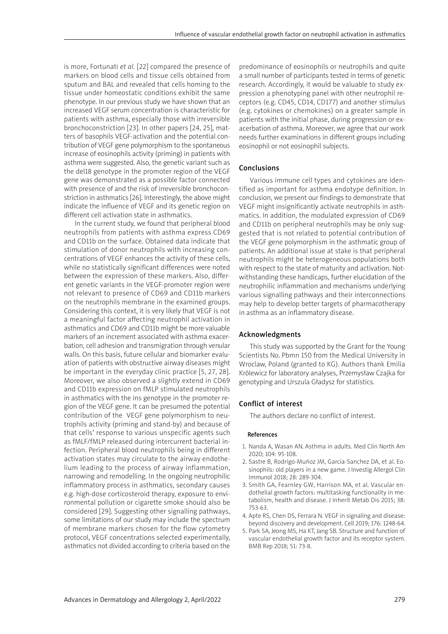is more, Fortunati *et al.* [22] compared the presence of markers on blood cells and tissue cells obtained from sputum and BAL and revealed that cells homing to the tissue under homeostatic conditions exhibit the same phenotype. In our previous study we have shown that an increased VEGF serum concentration is characteristic for patients with asthma, especially those with irreversible bronchoconstriction [23]. In other papers [24, 25], matters of basophils VEGF-activation and the potential contribution of VEGF gene polymorphism to the spontaneous increase of eosinophils activity (priming) in patients with asthma were suggested. Also, the genetic variant such as the del18 genotype in the promoter region of the VEGF gene was demonstrated as a possible factor connected with presence of and the risk of irreversible bronchoconstriction in asthmatics [26]. Interestingly, the above might indicate the influence of VEGF and its genetic region on different cell activation state in asthmatics.

In the current study, we found that peripheral blood neutrophils from patients with asthma express CD69 and CD11b on the surface. Obtained data indicate that stimulation of donor neutrophils with increasing concentrations of VEGF enhances the activity of these cells, while no statistically significant differences were noted between the expression of these markers. Also, different genetic variants in the VEGF-promoter region were not relevant to presence of CD69 and CD11b markers on the neutrophils membrane in the examined groups. Considering this context, it is very likely that VEGF is not a meaningful factor affecting neutrophil activation in asthmatics and CD69 and CD11b might be more valuable markers of an increment associated with asthma exacerbation, cell adhesion and transmigration through venular walls. On this basis, future cellular and biomarker evaluation of patients with obstructive airway diseases might be important in the everyday clinic practice [5, 27, 28]. Moreover, we also observed a slightly extend in CD69 and CD11b expression on fMLP stimulated neutrophils in asthmatics with the ins genotype in the promoter region of the VEGF gene. It can be presumed the potential contribution of the VEGF gene polymorphism to neutrophils activity (priming and stand-by) and because of that cells' response to various unspecific agents such as fMLF/fMLP released during intercurrent bacterial infection. Peripheral blood neutrophils being in different activation states may circulate to the airway endothelium leading to the process of airway inflammation, narrowing and remodelling. In the ongoing neutrophilic inflammatory process in asthmatics, secondary causes e.g. high-dose corticosteroid therapy, exposure to environmental pollution or cigarette smoke should also be considered [29]. Suggesting other signalling pathways, some limitations of our study may include the spectrum of membrane markers chosen for the flow cytometry protocol, VEGF concentrations selected experimentally, asthmatics not divided according to criteria based on the predominance of eosinophils or neutrophils and quite a small number of participants tested in terms of genetic research. Accordingly, it would be valuable to study expression a phenotyping panel with other neutrophil receptors (e.g. CD45, CD14, CD177) and another stimulus (e.g. cytokines or chemokines) on a greater sample in patients with the initial phase, during progression or exacerbation of asthma. Moreover, we agree that our work needs further examinations in different groups including eosinophil or not eosinophil subjects.

## Conclusions

Various immune cell types and cytokines are identified as important for asthma endotype definition. In conclusion, we present our findings to demonstrate that VEGF might insignificantly activate neutrophils in asthmatics. In addition, the modulated expression of CD69 and CD11b on peripheral neutrophils may be only suggested that is not related to potential contribution of the VEGF gene polymorphism in the asthmatic group of patients. An additional issue at stake is that peripheral neutrophils might be heterogeneous populations both with respect to the state of maturity and activation. Notwithstanding these handicaps, further elucidation of the neutrophilic inflammation and mechanisms underlying various signalling pathways and their interconnections may help to develop better targets of pharmacotherapy in asthma as an inflammatory disease.

# Acknowledgments

This study was supported by the Grant for the Young Scientists No. Pbmn 150 from the Medical University in Wroclaw, Poland (granted to KG). Authors thank Emilia Królewicz for laboratory analyses, Przemysław Czajka for genotyping and Urszula Gładysz for statistics.

## Conflict of interest

The authors declare no conflict of interest.

#### References

- 1. Nanda A, Wasan AN. Asthma in adults. Med Clin North Am 2020; 104: 95-108.
- 2. Sastre B, Rodrigo-Muñoz JM, Garcia-Sanchez DA, et al. Eosinophils: old players in a new game. J Investig Allergol Clin Immunol 2018; 28: 289-304.
- 3. Smith GA, Fearnley GW, Harrison MA, et al. Vascular endothelial growth factors: multitasking functionality in metabolism, health and disease. J Inherit Metab Dis 2015; 38: 753-63.
- 4. Apte RS, Chen DS, Ferrara N. VEGF in signaling and disease: beyond discovery and development. Cell 2019; 176: 1248-64.
- 5. Park SA, Jeong MS, Ha KT, Jang SB. Structure and function of vascular endothelial growth factor and its receptor system. BMB Rep 2018; 51: 73-8.